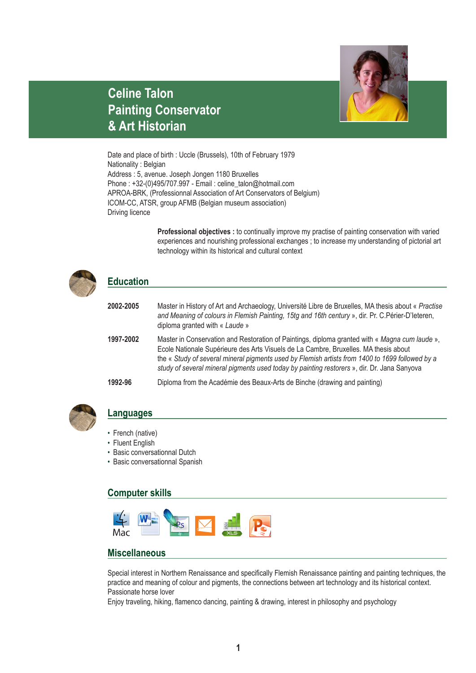

## **Celine Talon Painting Conservator & Art Historian**

Date and place of birth : Uccle (Brussels), 10th of February 1979 Nationality : Belgian Address : 5, avenue. Joseph Jongen 1180 Bruxelles Phone : +32-(0)495/707.997 - Email : celine\_talon@hotmail.com APROA-BRK, (Professionnal Association of Art Conservators of Belgium) ICOM-CC, ATSR, group AFMB (Belgian museum association) Driving licence

> **Professional objectives :** to continually improve my practise of painting conservation with varied experiences and nourishing professional exchanges ; to increase my understanding of pictorial art technology within its historical and cultural context

| <b>Education</b> |                                                                                                                                                                                                                                                                                                                                                                                          |
|------------------|------------------------------------------------------------------------------------------------------------------------------------------------------------------------------------------------------------------------------------------------------------------------------------------------------------------------------------------------------------------------------------------|
| 2002-2005        | Master in History of Art and Archaeology, Université Libre de Bruxelles, MA thesis about « Practise<br>and Meaning of colours in Flemish Painting, 15tg and 16th century », dir. Pr. C. Périer-D'Ieteren,<br>diploma granted with « Laude »                                                                                                                                              |
| 1997-2002        | Master in Conservation and Restoration of Paintings, diploma granted with « Magna cum laude »,<br>Ecole Nationale Supérieure des Arts Visuels de La Cambre, Bruxelles. MA thesis about<br>the « Study of several mineral pigments used by Flemish artists from 1400 to 1699 followed by a<br>study of several mineral pigments used today by painting restorers », dir. Dr. Jana Sanyova |
| 1992-96          | Diploma from the Académie des Beaux-Arts de Binche (drawing and painting)                                                                                                                                                                                                                                                                                                                |



#### **Languages**

- French (native)
- Fluent English
- Basic conversationnal Dutch
- Basic conversationnal Spanish

#### **Computer skills**



#### **Miscellaneous**

Special interest in Northern Renaissance and specifically Flemish Renaissance painting and painting techniques, the practice and meaning of colour and pigments, the connections between art technology and its historical context. Passionate horse lover

Enjoy traveling, hiking, flamenco dancing, painting & drawing, interest in philosophy and psychology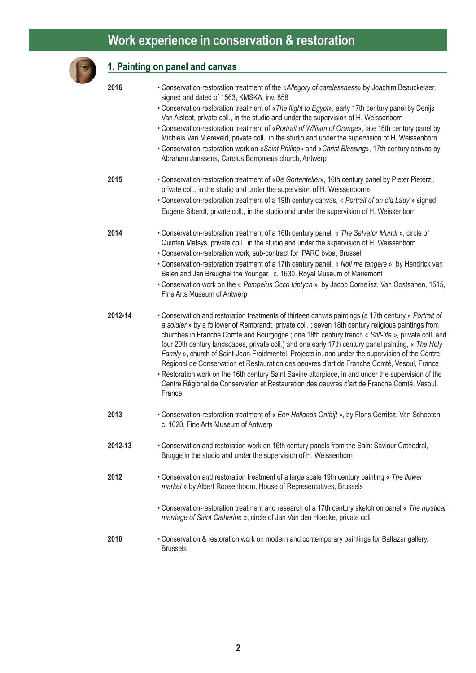## **Work experience in conservation & restoration**

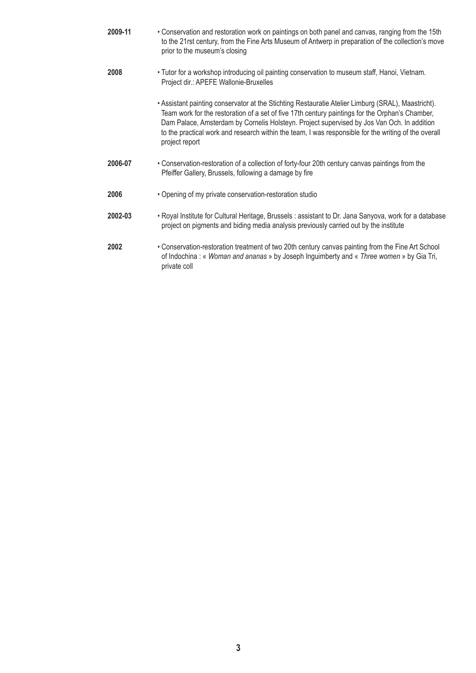| 2009-11 | • Conservation and restoration work on paintings on both panel and canvas, ranging from the 15th<br>to the 21rst century, from the Fine Arts Museum of Antwerp in preparation of the collection's move<br>prior to the museum's closing                                                                                                                                                                                       |
|---------|-------------------------------------------------------------------------------------------------------------------------------------------------------------------------------------------------------------------------------------------------------------------------------------------------------------------------------------------------------------------------------------------------------------------------------|
| 2008    | . Tutor for a workshop introducing oil painting conservation to museum staff, Hanoi, Vietnam.<br>Project dir.: APEFE Wallonie-Bruxelles                                                                                                                                                                                                                                                                                       |
|         | • Assistant painting conservator at the Stichting Restauratie Atelier Limburg (SRAL), Maastricht).<br>Team work for the restoration of a set of five 17th century paintings for the Orphan's Chamber,<br>Dam Palace, Amsterdam by Cornelis Holsteyn. Project supervised by Jos Van Och. In addition<br>to the practical work and research within the team, I was responsible for the writing of the overall<br>project report |
| 2006-07 | • Conservation-restoration of a collection of forty-four 20th century canvas paintings from the<br>Pfeiffer Gallery, Brussels, following a damage by fire                                                                                                                                                                                                                                                                     |
| 2006    | • Opening of my private conservation-restoration studio                                                                                                                                                                                                                                                                                                                                                                       |
| 2002-03 | • Royal Institute for Cultural Heritage, Brussels : assistant to Dr. Jana Sanyova, work for a database<br>project on pigments and biding media analysis previously carried out by the institute                                                                                                                                                                                                                               |
| 2002    | • Conservation-restoration treatment of two 20th century canvas painting from the Fine Art School<br>of Indochina: « Woman and ananas » by Joseph Inguimberty and « Three women » by Gia Tri,<br>private coll                                                                                                                                                                                                                 |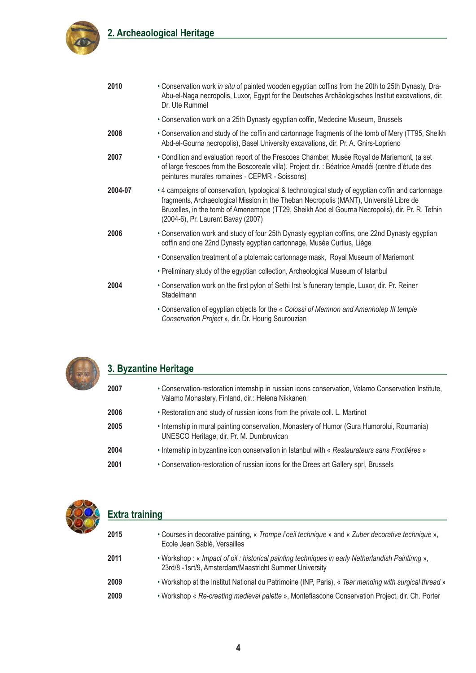





#### **3. Byzantine Heritage**

| 2007 | . Conservation-restoration internship in russian icons conservation, Valamo Conservation Institute,<br>Valamo Monastery, Finland, dir.: Helena Nikkanen |
|------|---------------------------------------------------------------------------------------------------------------------------------------------------------|
| 2006 | • Restoration and study of russian icons from the private coll. L. Martinot                                                                             |
| 2005 | • Internship in mural painting conservation, Monastery of Humor (Gura Humorolui, Roumania)<br>UNESCO Heritage, dir. Pr. M. Dumbruvican                  |
| 2004 | • Internship in byzantine icon conservation in Istanbul with « Restaurateurs sans Frontières »                                                          |
| 2001 | • Conservation-restoration of russian icons for the Drees art Gallery sprl, Brussels                                                                    |



#### **Extra training**

| 2015 | • Courses in decorative painting, « Trompe l'oeil technique » and « Zuber decorative technique »,<br>Ecole Jean Sablé, Versailles                         |
|------|-----------------------------------------------------------------------------------------------------------------------------------------------------------|
| 2011 | • Workshop: « Impact of oil: historical painting techniques in early Netherlandish Paintinng »,<br>23rd/8 -1srt/9, Amsterdam/Maastricht Summer University |
| 2009 | . Workshop at the Institut National du Patrimoine (INP, Paris), « Tear mending with surgical thread »                                                     |
| 2009 | • Workshop « Re-creating medieval palette », Montefiascone Conservation Project, dir. Ch. Porter                                                          |